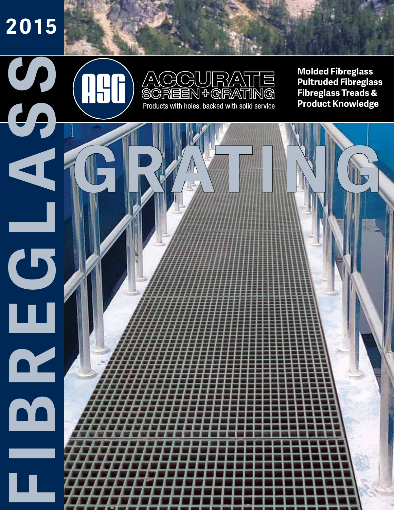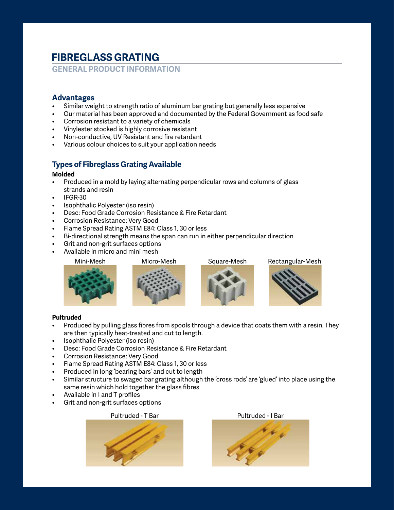# **FIBREGLASS GRATING**

**GENERAL PRODUCT INFORMATION**

### **Advantages**

- Similar weight to strength ratio of aluminum bar grating but generally less expensive
- Our material has been approved and documented by the Federal Government as food safe
- Corrosion resistant to a variety of chemicals
- Vinylester stocked is highly corrosive resistant
- Non-conductive, UV Resistant and fire retardant
- Various colour choices to suit your application needs

### **Types of Fibreglass Grating Available**

#### **Molded**

- Produced in a mold by laying alternating perpendicular rows and columns of glass strands and resin
- IFGR-30
- Isophthalic Polyester (iso resin)
- Desc: Food Grade Corrosion Resistance & Fire Retardant
- Corrosion Resistance: Very Good
- Flame Spread Rating ASTM E84: Class 1, 30 or less
- Bi-directional strength means the span can run in either perpendicular direction
- Grit and non-grit surfaces options
- Available in micro and mini mesh



Mini-Mesh Micro-Mesh Square-Mesh Rectangular-Mesh









#### **Pultruded**

- Produced by pulling glass fibres from spools through a device that coats them with a resin. They are then typically heat-treated and cut to length.
- Isophthalic Polyester (iso resin)
- Desc: Food Grade Corrosion Resistance & Fire Retardant
- Corrosion Resistance: Very Good
- Flame Spread Rating ASTM E84: Class 1, 30 or less
- Produced in long 'bearing bars' and cut to length
- Similar structure to swaged bar grating although the 'cross rods' are 'glued' into place using the same resin which hold together the glass fibres
- Available in I and T profiles
- Grit and non-grit surfaces options



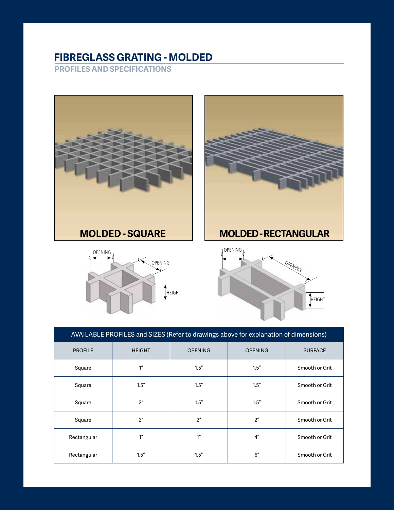## **FIBREGLASS GRATING - MOLDED**

**PROFILES AND SPECIFICATIONS**



| AVAILABLE PROFILES and SIZES (Refer to drawings above for explanation of dimensions) |                 |                 |                 |                |  |  |  |  |  |  |  |
|--------------------------------------------------------------------------------------|-----------------|-----------------|-----------------|----------------|--|--|--|--|--|--|--|
| <b>PROFILE</b>                                                                       | <b>HEIGHT</b>   | <b>OPENING</b>  | <b>OPENING</b>  | <b>SURFACE</b> |  |  |  |  |  |  |  |
| Square                                                                               | 1 <sup>''</sup> | 1.5''           | 1.5''           | Smooth or Grit |  |  |  |  |  |  |  |
| Square                                                                               | 1.5''           | 1.5''           | 1.5''           | Smooth or Grit |  |  |  |  |  |  |  |
| Square                                                                               | 2 <sup>''</sup> | 1.5''           | 1.5''           | Smooth or Grit |  |  |  |  |  |  |  |
| Square                                                                               | 2 <sup>''</sup> | 2 <sup>n</sup>  | 2 <sup>n</sup>  | Smooth or Grit |  |  |  |  |  |  |  |
| Rectangular                                                                          | 1''             | 1 <sup>''</sup> | 4 <sup>''</sup> | Smooth or Grit |  |  |  |  |  |  |  |
| Rectangular                                                                          | 1.5''           | 1.5''           | 6''             | Smooth or Grit |  |  |  |  |  |  |  |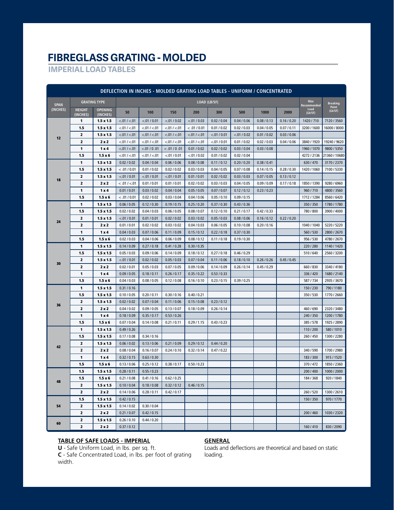## **FIBREGLASS GRATING - MOLDED**

### **IMPERIAL LOAD TABLES**

| DEFLECTION IN INCHES - MOLDED GRATING LOAD TABLES - UNIFORM / CONCENTRATED |                           |                            |                            |                            |                            |               |               |               |             |             |                    |                  |
|----------------------------------------------------------------------------|---------------------------|----------------------------|----------------------------|----------------------------|----------------------------|---------------|---------------|---------------|-------------|-------------|--------------------|------------------|
| <b>SPAN</b>                                                                |                           | <b>GRATING TYPE</b>        |                            |                            |                            | LOAD (LB/SF)  |               |               |             |             | Max<br>Recommended | <b>Breaking</b>  |
| (INCHES)                                                                   | <b>HEIGHT</b><br>(INCHES) | <b>OPENING</b><br>(INCHES) | 50                         | 100                        | 150                        | 200           | 300           | 500           | 1000        | 2000        | Load<br>(Lb/SF)    | Point<br>(Lb/SF) |
|                                                                            | 1                         | $1.5 \times 1.5$           | < .01 / < .01              | < .01 / 0.01               | < 0.01 / 0.02              | < .01 / 0.03  | 0.02 / 0.04   | 0.04 / 0.06   | 0.08 / 0.13 | 0.16 / 0.20 | 1420 / 710         | 7120 / 3560      |
|                                                                            | 1.5                       | $1.5 \times 1.5$           | < .01 / < .01              | < .01 / < .01              | < .01 / < .01              | < .01 / 0.01  | 0.01 / 0.02   | 0.02 / 0.03   | 0.04 / 0.05 | 0.07 / 0.11 | 3200 / 1600        | 16000 / 8000     |
|                                                                            | 2                         | $1.5 \times 1.5$           | < 01 / < 01                | < .01 / < .01              | < 01 / < 01                | < 01 / < 01   | < 0.01 / 0.01 | < 0.01 / 0.02 | 0.01 / 0.02 | 0.03 / 0.06 |                    |                  |
| 12                                                                         | $\overline{\mathbf{z}}$   | 2x2                        | < .01 / < .01              | < 01 / < 01                | < .01 / < .01              | < .01 / < .01 | < 0.01 / 0.01 | 0.01 / 0.02   | 0.02 / 0.03 | 0.04 / 0.06 | 3840 / 1920        | 19240 / 9620     |
|                                                                            | 1                         | $1 \times 4$               | < .01 / < .01              | < .01 / 0 .01              | < .01 / 0.01               | 0.01 / 0.02   | 0.02 / 0.02   | 0.03 / 0.04   | 0.03 / 0.08 |             | 1960 / 1070        | 9800 / 5350      |
|                                                                            | 1.5                       | $1.5 \times 6$             | < .01 / < .01              | < .01 / < .01              | < 0.01 / 0.01              | < 0.01 / 0.02 | 0.01 / 0.02   | 0.02 / 0.04   |             |             | 4272 / 2136        | 21360 / 10680    |
|                                                                            | 1                         | $1.5 \times 1.5$           | 0.02 / 0.02                | 0.04 / 0.04                | 0.06 / 0.06                | 0.08 / 0.08   | 0.11 / 0.12   | 0.20 / 0.20   | 0.38 / 0.41 |             | 630/470            | 3170 / 2370      |
|                                                                            | 1.5                       | $1.5 \times 1.5$           | < .01 / 0.01               | 0.01 / 0.02                | 0.02 / 0.02                | 0.03 / 0.03   | 0.04 / 0.05   | 0.07 / 0.08   | 0.14 / 0.15 | 0.28 / 0.30 | 1420 / 1060        | 7100 / 5330      |
|                                                                            | $\overline{\mathbf{2}}$   | $1.5 \times 1.5$           | < .01 / 0.01               | < 0.01 / 0.01              | < .01 / 0.01               | 0.01 / 0.01   | 0.02 / 0.02   | 0.03 / 0.03   | 0.07 / 0.05 | 0.13 / 0.12 |                    |                  |
| 18                                                                         | 2                         | 2x2                        | < .01 / < .01              | 0.01 / 0.01                | 0.01 / 0.01                | 0.02 / 0.02   | 0.03 / 0.03   | 0.04 / 0.05   | 0.09 / 0.09 | 0.17 / 0.18 | 1850 / 1390        | 9280 / 6960      |
|                                                                            | 1                         | $1 \times 4$               | 0.01 / 0.01                | 0.03 / 0.02                | 0.04 / 0.04                | 0.05 / 0.05   | 0.07 / 0.07   | 0.12 / 0.12   | 0.23 / 0.23 |             | 960 / 710          | 4800 / 3560      |
|                                                                            | 1.5                       | $1.5 \times 6$             | < .01 / 0.01               | 0.02 / 0.02                | 0.03 / 0.04                | 0.04 / 0.06   | 0.05 / 0.10   | 0.09 / 0.15   |             |             | 1712 / 1284        | 8560 / 6420      |
|                                                                            | 1                         | $1.5 \times 1.5$           | 0.06 / 0.05                | 0.12 / 0.30                | 0.19 / 0.15                | 0.25 / 0.20   | 0.37 / 0.30   | 0.43 / 0.36   |             |             | 350/350            | 1780 / 1780      |
|                                                                            | 1.5                       | $1.5 \times 1.5$           | 0.02 / 0.02                | 0.04 / 0.03                | 0.06 / 0.05                | 0.08 / 0.07   | 0.12 / 0.10   | 0.21 / 0.17   | 0.42 / 0.33 |             | 780 / 800          | 3900 / 4000      |
|                                                                            | 2                         | $1.5 \times 1.5$           | < .01 / 0.01               | 0.01 / 0.01                | 0.02 / 0.02                | 0.03 / 0.02   | 0.05 / 0.03   | 0.08 / 0.06   | 0.16 / 0.12 | 0.22 / 0.20 |                    |                  |
| 24                                                                         | $\mathbf{z}$              | 2x2                        | 0.01 / 0.01                | 0.02 / 0.02                | 0.03 / 0.02                | 0.04 / 0.03   | 0.06 / 0.05   | 0.10 / 0.08   | 0.20 / 0.16 |             | 1040 / 1040        | 5220 / 5220      |
|                                                                            | 1                         | 1 x 4                      | 0.04 / 0.03                | 0.07 / 0.06                | 0.11 / 0.09                | 0.15 / 0.12   | 0.22 / 0.18   | 0.37 / 0.30   |             |             | 560/530            | 2800 / 2670      |
|                                                                            | 1.5                       | $1.5 \times 6$             | 0.02 / 0.03                | 0.04 / 0.06                | 0.06 / 0.09                | 0.08 / 0.12   | 0.11 / 0.18   | 0.19 / 0.30   |             |             | 956 / 530          | 4780 / 2670      |
| 30                                                                         | 1                         | $1.5 \times 1.5$           | 0.14 / 0.09                | 0.27 / 0.18                | 0.41 / 0.28                | 0.30 / 0.35   |               |               |             |             | 220/280            | 1140 / 1420      |
|                                                                            | 1.5                       | $1.5 \times 1.5$           | 0.05 / 0.03                | 0.09 / 0.06                | 0.14/0.09                  | 0.18 / 0.12   | 0.27 / 0.18   | 0.46 / 0.29   |             |             | 510/640            | 2560 / 3200      |
|                                                                            | $\mathbf{z}$              | $1.5 \times 1.5$           | < 0.01 / 0.01              | 0.02 / 0.02                | 0.05 / 0.03                | 0.07 / 0.04   | 0.11 / 0.06   | 0.18 / 0.10   | 0.26 / 0.26 | 0.45/0.45   |                    |                  |
|                                                                            | 2                         | 2x2                        | 0.02 / 0.01                | 0.05 / 0.03                | 0.07 / 0.05                | 0.09 / 0.06   | 0.14 / 0.09   | 0.26 / 0.14   | 0.45/0.29   |             | 660 / 830          | 3340 / 4180      |
|                                                                            | 1                         | 1 x 4                      | 0.09/0.05                  | 0.18 / 0.11                | 0.26 / 0.17                | 0.35 / 0.22   | 0.53 / 0.33   |               |             |             | 336 / 420          | 1680 / 2140      |
|                                                                            | 1.5                       | $1.5 \times 6$             | 0.04 / 0.03                | 0.08 / 0.05                | 0.12 / 0.08                | 0.16 / 0.10   | 0.23/0.15     | 0.39 / 0.25   |             |             | 587/734            | 2935 / 3670      |
|                                                                            | 1                         | $1.5 \times 1.5$           | 0.31 / 0.16                |                            |                            |               |               |               |             |             | 150 / 230          | 790/1180         |
|                                                                            | 1.5                       | $1.5 \times 1.5$           | 0.10 / 0.05                | 0.20 / 0.11                | 0.30 / 0.16                | 0.40 / 0.21   |               |               |             |             | 350/530            | 1770 / 2660      |
| 36                                                                         | 2                         | $1.5 \times 1.5$           | 0.02 / 0.02                | 0.07 / 0.04                | 0.11 / 0.06                | 0.15 / 0.08   | 0.23/0.12     |               |             |             |                    |                  |
|                                                                            | 2                         | 2x2                        | 0.04 / 0.02                | 0.09 / 0.05                | 0.13 / 0.07                | 0.18 / 0.09   | 0.26 / 0.14   |               |             |             | 460 / 690          | 2320 / 3480      |
|                                                                            | 1                         | $1 \times 4$               | 0.18 / 0.09                | 0.35 / 0.17                | 0.53 / 0.26                |               |               |               |             |             | 240 / 350          | 1200 / 1780      |
|                                                                            | 1.5                       | $1.5 \times 6$             | 0.07 / 0.04                | 0.14 / 0.08                | 0.21 / 0.11                | 0.29/1.15     | 0.43 / 0.23   |               |             |             | 385/578            | 1925 / 2890      |
|                                                                            | 1                         | $1.5 \times 1.5$           | 0.49 / 0.26                |                            |                            |               |               |               |             |             | 110/200            | 580/1010         |
|                                                                            | 1.5                       | $1.5 \times 1.5$           | 0.17 / 0.08                | 0.34 / 0.16                |                            |               |               |               |             |             | 260/450            | 1300 / 2280      |
| 42                                                                         | 2                         | $1.5 \times 1.5$           | 0.06 / 0.02                | 0.13 / 0.06                | 0.21 / 0.09                | 0.29 / 0.12   | 0.44 / 0.20   |               |             |             |                    |                  |
|                                                                            | $\overline{\mathbf{z}}$   | 2x2                        | 0.08 / 0.04                | 0.16 / 0.07                | 0.24 / 0.10                | 0.32 / 0.14   | 0.47 / 0.22   |               |             |             | 340/590            | 1700 / 2980      |
|                                                                            | 1                         | 1x4                        | 0.32 / 0.15                | 0.63 / 0.30                |                            |               |               |               |             |             | 183/300            | 915 / 1520       |
|                                                                            | 1.5                       | $1.5 \times 6$             | 0.13 / 0.06                | 0.25 / 0.12                | 0.38 / 0.17                | 0.50 / 0.23   |               |               |             |             | 370/472            | 1850 / 2360      |
|                                                                            | 1.5                       | $1.5 \times 1.5$           | 0.28 / 0.11                | 0.55/0.23                  |                            |               |               |               |             |             | 200 / 400          | 1000 / 2000      |
| 48                                                                         | 1.5                       | $1.5 \times 6$             | 0.21 / 0.08                | 0.41 / 0.16                | 0.62 / 0.25                |               |               |               |             |             | 184/368            | 920 / 1840       |
|                                                                            | 2                         | $1.5 \times 1.5$           | 0.10 / 0.04<br>0.14 / 0.06 | 0.18 / 0.08                | 0.32 / 0.12<br>0.42 / 0.17 | 0.46 / 0.15   |               |               |             |             |                    |                  |
|                                                                            | $\mathbf{z}$              | 2x2                        |                            | 0.28 / 0.11                |                            |               |               |               |             |             | 260/520            | 1300 / 2610      |
| 54                                                                         | 1.5<br>$\mathbf{z}$       | $1.5 \times 1.5$           | 0.42 / 0.15                |                            |                            |               |               |               |             |             | 150 / 350          | 970 / 1770       |
|                                                                            | $\mathbf{z}$              | $1.5 \times 1.5$<br>2x2    | 0.14 / 0.02<br>0.21 / 0.07 | 0.30 / 0.04<br>0.42 / 0.15 |                            |               |               |               |             |             | 200 / 460          | 1030 / 2320      |
|                                                                            | $\mathbf{z}$              | $1.5 \times 1.5$           | 0.26 / 0.10                | 0.44 / 0.20                |                            |               |               |               |             |             |                    |                  |
| 60                                                                         | $\mathbf{z}$              | 2x2                        | 0.37 / 0.12                |                            |                            |               |               |               |             |             | 160/410            | 830 / 2090       |
|                                                                            |                           |                            |                            |                            |                            |               |               |               |             |             |                    |                  |

#### **TABLE OF SAFE LOADS - IMPERIAL**

**GENERAL**

**U** - Safe Uniform Load, in lbs. per sq. ft.

**C** - Safe Concentrated Load, in lbs. per foot of grating width.

Loads and deflections are theoretical and based on static loading.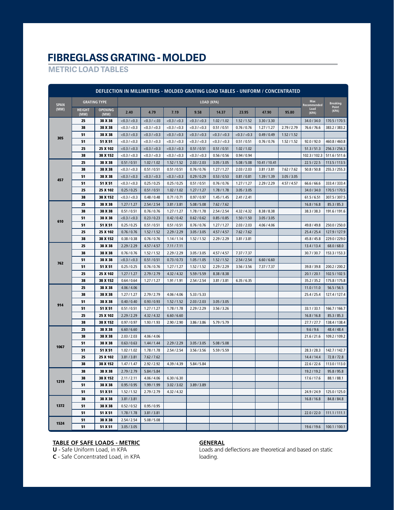## **FIBREGLASS GRATING - MOLDED**

**METRIC LOAD TABLES**

| DEFLECTION IN MILLIMETERS - MOLDED GRATING LOAD TABLES - UNIFORM / CONCENTRATED |                       |                        |                   |                   |                   |                   |                   |               |               |             |                           |                 |
|---------------------------------------------------------------------------------|-----------------------|------------------------|-------------------|-------------------|-------------------|-------------------|-------------------|---------------|---------------|-------------|---------------------------|-----------------|
| <b>SPAN</b>                                                                     |                       | <b>GRATING TYPE</b>    |                   |                   |                   | LOAD (KPA)        |                   |               |               |             | <b>Max</b><br>Recommended | <b>Breaking</b> |
| (MM)                                                                            | <b>HEIGHT</b><br>(MM) | <b>OPENING</b><br>(MM) | 2.40              | 4.79              | 7.19              | 9.58              | 14.37             | 23.95         | 47.90         | 95.80       | Load<br>(KPA)             | Point<br>(KPA)  |
|                                                                                 | 25                    | 38 X 38                | $<$ 0.3 / $<$ 0.3 | < 0.3 / < 0.03    | $<$ 0.3 / $<$ 0.3 | $<$ 0.3 / $<$ 0.3 | 1.02 / 1.02       | 1.52 / 1.52   | 3.30/3.30     |             | 34.0 / 34.0               | 170.5 / 170.5   |
|                                                                                 | 38                    | 38 X 38                | < 0.3 / < 0.3     | $<$ 0.3 / $<$ 0.3 | $<$ 0.3 / $<$ 0.3 | $<$ 0.3 / $<$ 0.3 | 0.51 / 0.51       | 0.76 / 0.76   | 1.27/1.27     | 2.79 / 2.79 | 76.6 / 76.6               | 383.2 / 383.2   |
|                                                                                 | 51                    | 38 X 38                | < 0.3 / < 0.3     | < 0.3 / < 0.3     | $<$ 0.3 / $<$ 0.3 | < 0.3 / < 0.3     | $<$ 0.3 / $<$ 0.3 | < 0.3 / < 0.3 | 0.49/0.49     | 1.52 / 1.52 |                           |                 |
| 305                                                                             | 51                    | 51 X 51                | $<$ 0.3 / $<$ 0.3 | $<$ 0.3 / $<$ 0.3 | $<$ 0.3 / $<$ 0.3 | $<$ 0.3 / $<$ 0.3 | $<$ 0.3 / $<$ 0.3 | 0.51 / 0.51   | 0.76/0.76     | 1.52 / 1.52 | 92.0 / 92.0               | 460.8 / 460.8   |
|                                                                                 | 25                    | 25 X 102               | $<$ 0.3 / $<$ 0.3 | < 0.3 / < 0.3     | < 0.3 / < 0.3     | 0.51 / 0.51       | 0.51 / 0.51       | 1.02 / 1.02   |               |             | 51.3 / 51.3               | 256.3 / 256.3   |
|                                                                                 | 38                    | 38 X 152               | $<$ 0.3 / $<$ 0.3 | $<$ 0.3 / $<$ 0.3 | $<$ 0.3 / $<$ 0.3 | $<$ 0.3 / $<$ 0.3 | 0.56 / 0.56       | 0.94 / 0.94   |               |             | 102.3 / 102.3             | 511.6 / 511.6   |
|                                                                                 | 25                    | 38 X 38                | 0.51 / 0.51       | 1.02 / 1.02       | 1.52 / 1.52       | 2.03 / 2.03       | 3.05 / 3.05       | 5.08 / 5.08   | 10.41 / 10.41 |             | 22.5/22.5                 | 113.5 / 113.5   |
|                                                                                 | 38                    | 38 X 38                | $<$ 0.3 / $<$ 0.3 | 0.51 / 0.51       | 0.51 / 0.51       | 0.76 / 0.76       | 1.27/1.27         | 2.03 / 2.03   | 3.81/3.81     | 7.62 / 7.62 | 50.8 / 50.8               | 255.3 / 255.3   |
| 457                                                                             | 51                    | 38 X 38                | $<$ 0.3 / $<$ 0.3 | $<$ 0.3 / $<$ 0.3 | $<$ 0.3 / $<$ 0.3 | 0.29/0.29         | 0.53 / 0.53       | 0.81 / 0.81   | 1.39/1.39     | 3.05 / 3.05 |                           |                 |
|                                                                                 | 51                    | 51 X 51                | $<$ 0.3 / $<$ 0.3 | 0.25/0.25         | 0.25 / 0.25       | 0.51 / 0.51       | 0.76 / 0.76       | 1.27/1.27     | 2.29/2.29     | 4.57 / 4.57 | 66.6 / 66.6               | 333.4 / 333.4   |
|                                                                                 | 25                    | 25 X 102               | 0.25 / 0.25       | 0.51 / 0.51       | 1.02 / 1.02       | 1.27/1.27         | 1.78 / 1.78       | 3.05 / 3.05   |               |             | 34.0 / 34.0               | 170.5 / 170.5   |
|                                                                                 | 38                    | 38 X 152               | $<$ 0.3 / $<$ 0.3 | 0.48 / 0.48       | 0.71 / 0.71       | 0.97/0.97         | 1.45/1.45         | 2.41 / 2.41   |               |             | 61.5/6.51                 | 307.5 / 307.5   |
|                                                                                 | 25                    | 38 X 38                | 1.27/1.27         | 2.54/2.54         | 3.81 / 3.81       | 5.08 / 5.08       | 7.62 / 7.62       |               |               |             | 16.8 / 16.8               | 85.3 / 85.3     |
|                                                                                 | 38                    | 38 X 38                | 0.51 / 0.51       | 0.76 / 0.76       | 1.27/1.27         | 1.78 / 1.78       | 2.54/2.54         | 4.32 / 4.32   | 8.38 / 8.38   |             | 38.3 / 38.3               | 191.6 / 191.6   |
| 610                                                                             | 51                    | 38 X 38                | $<$ 0.3 / $<$ 0.3 | 0.23/0.23         | 0.42 / 0.42       | 0.62 / 0.62       | 0.85 / 0.85       | 1.50 / 1.50   | 3.05 / 3.05   |             |                           |                 |
|                                                                                 | 51                    | 51 X 51                | 0.25/0.25         | 0.51 / 0.51       | 0.51 / 0.51       | 0.76 / 0.76       | 1.27/1.27         | 2.03 / 2.03   | 4.06 / 4.06   |             | 49.8 / 49.8               | 250.0 / 250.0   |
|                                                                                 | 25                    | 25 X 102               | 0.76 / 0.76       | 1.52 / 1.52       | 2.29/2.29         | 3.05 / 3.05       | 4.57 / 4.57       | 7.62 / 7.62   |               |             | 25.4 / 25.4               | 127.9 / 127.9   |
|                                                                                 | 38                    | 38 X 152               | 0.38 / 0.38       | 0.76 / 0.76       | 1.14/1.14         | 1.52 / 1.52       | 2.29/2.29         | 3.81 / 3.81   |               |             | 45.8 / 45.8               | 229.0 / 229.0   |
| 762                                                                             | 25                    | 38 X 38                | 2.29/2.29         | 4.57 / 4.57       | 7.11 / 7.11       |                   |                   |               |               |             | 13.4 / 13.4               | 68.0 / 68.0     |
|                                                                                 | 38                    | 38 X 38                | 0.76/0.76         | 1.52 / 1.52       | 2.29/2.29         | 3.05 / 3.05       | 4.57 / 4.57       | 7.37/7.37     |               |             | 30.7 / 30.7               | 153.3 / 153.3   |
|                                                                                 | 51                    | 38 X 38                | $<$ 0.3 / $<$ 0.3 | 0.51 / 0.51       | 0.73 / 0.73       | 1.05 / 1.05       | 1.52 / 1.52       | 2.54 / 2.54   | 6.60 / 6.60   |             |                           |                 |
|                                                                                 | 51                    | 51 X 51                | 0.25/0.25         | 0.76 / 0.76       | 1.27/1.27         | 1.52 / 1.52       | 2.29/2.29         | 3.56 / 3.56   | 7.37 / 7.37   |             | 39.8 / 39.8               | 200.2 / 200.2   |
|                                                                                 | 25                    | 25 X 102               | 1.27/1.27         | 2.79 / 2.79       | 4.32 / 4.32       | 5.59/5.59         | 8.38/8.38         |               |               |             | 20.1 / 20.1               | 102.5 / 102.5   |
|                                                                                 | 38                    | 38 X 152               | 0.64 / 0.64       | 1.27/1.27         | 1.91 / 1.91       | 2.54/2.54         | 3.81 / 3.81       | 6.35/6.35     |               |             | 35.2 / 35.2               | 175.8 / 175.8   |
|                                                                                 | 25                    | 38 X 38                | 4.06 / 4.06       |                   |                   |                   |                   |               |               |             | 11.0 / 11.0               | 56.5/56.5       |
|                                                                                 | 38                    | 38 X 38                | 1.27/1.27         | 2.79 / 2.79       | 4.06 / 4.06       | 5.33 / 5.33       |                   |               |               |             | 25.4/25.4                 | 127.4 / 127.4   |
| 914                                                                             | 51                    | 38 X 38                | 0.40 / 0.40       | 0.93/0.93         | 1.52 / 1.52       | 2.03 / 2.03       | 3.05 / 3.05       |               |               |             |                           |                 |
|                                                                                 | 51                    | 51 X 51                | 0.51 / 0.51       | 1.27/1.27         | 1.78 / 1.78       | 2.29/2.29         | 3.56 / 3.26       |               |               |             | 33.1 / 33.1               | 166.7 / 166.7   |
|                                                                                 | 25                    | 25 X 102               | 2.29/2.29         | 4.32 / 4.32       | 6.60 / 6.60       |                   |                   |               |               |             | 16.8 / 16.8               | 85.3 / 85.3     |
|                                                                                 | 38                    | 38 X 152               | 0.97/0.97         | 1.93 / 1.93       | 2.90 / 2.90       | 3.86 / 3.86       | 5.79 / 5.79       |               |               |             | 27.7/27.7                 | 138.4 / 138.4   |
|                                                                                 | 25                    | 38 X 38                | 6.60 / 6.60       |                   |                   |                   |                   |               |               |             | 9.6 / 9.6                 | 48.4 / 48.4     |
|                                                                                 | 38                    | 38 X 38                | 2.03 / 2.03       | 4.06 / 4.06       |                   |                   |                   |               |               |             | 21.6 / 21.6               | 109.2 / 109.2   |
| 1067                                                                            | 51                    | 38 X 38                | 0.63 / 0.63       | 1.44/1.44         | 2.29/2.29         | 3.05 / 3.05       | 5.08 / 5.08       |               |               |             |                           |                 |
|                                                                                 | 51                    | 51 X 51                | 1.02 / 1.02       | 1.78 / 1.78       | 2.54/2.54         | 3.56 / 3.56       | 5.59/5.59         |               |               |             | 28.3/28.3                 | 142.7 / 142.7   |
|                                                                                 | 25                    | 25 X 102               | 3.81/3.81         | 7.62 / 7.62       |                   |                   |                   |               |               |             | 14.4 / 14.4               | 72.8/72.8       |
|                                                                                 | 38                    | 38 X 152               | 1.47/1.47         | 2.92 / 2.92       | 4.39 / 4.39       | 5.84 / 5.84       |                   |               |               |             | 22.6 / 22.6               | 113.0 / 113.0   |
|                                                                                 | 38                    | 38 X 38                | 2.79/2.79         | 5.84 / 5.84       |                   |                   |                   |               |               |             | 19.2 / 19.2               | 95.8 / 95.8     |
| 1219                                                                            | 38                    | 38 X 152               | 2.11 / 2.11       | 4.06 / 4.06       | 6.30 / 6.30       |                   |                   |               |               |             | 17.6 / 17.6               | 88.1 / 88.1     |
|                                                                                 | 51                    | 38 X 38                | 0.95/0.95         | 1.99 / 1.99       | 3.02 / 3.02       | 3.89 / 3.89       |                   |               |               |             |                           |                 |
|                                                                                 | 51                    | 51 X 51                | 1.52 / 1.52       | 2.79 / 2.79       | 4.32 / 4.32       |                   |                   |               |               |             | 24.9 / 24.9               | 125.0 / 125.0   |
|                                                                                 | 38                    | 38 X 38                | 3.81/3.81         |                   |                   |                   |                   |               |               |             | 16.8 / 16.8               | 84.8 / 84.8     |
| 1372                                                                            | 51                    | 38 X 38                | 0.52 / 0.52       | 0.95/0.95         |                   |                   |                   |               |               |             |                           |                 |
|                                                                                 | 51                    | 51 X 51                | 1.78 / 1.78       | 3.81 / 3.81       |                   |                   |                   |               |               |             | 22.0/22.0                 | 111.1 / 111.1   |
| 1524                                                                            | 51                    | 38 X 38                | 2.54 / 2.54       | 5.08 / 5.08       |                   |                   |                   |               |               |             |                           |                 |
|                                                                                 | 51                    | 51 X 51                | 3.05 / 3.05       |                   |                   |                   |                   |               |               |             | 19.6 / 19.6               | 100.1 / 100.1   |

#### **TABLE OF SAFE LOADS - METRIC**

**U** - Safe Uniform Load, in KPA

**GENERAL** Loads and deflections are theoretical and based on static loading.

**C** - Safe Concentrated Load, in KPA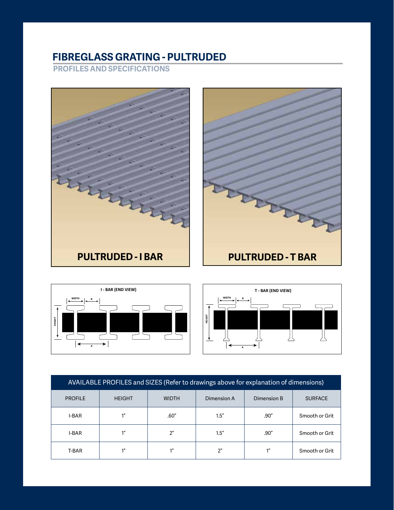# **FIBREGLASS GRATING - PULTRUDED**

**PROFILES AND SPECIFICATIONS**





**T - BAR (END VIEW)**

**HEIGHT**



| AVAILABLE PROFILES and SIZES (Refer to drawings above for explanation of dimensions) |               |                |                |                 |                |  |  |  |  |  |  |
|--------------------------------------------------------------------------------------|---------------|----------------|----------------|-----------------|----------------|--|--|--|--|--|--|
| <b>PROFILE</b>                                                                       | <b>HEIGHT</b> | <b>WIDTH</b>   | Dimension A    | Dimension B     | <b>SURFACE</b> |  |  |  |  |  |  |
| I-BAR                                                                                | 1"            | .60''          | 1.5''          | .90''           | Smooth or Grit |  |  |  |  |  |  |
| I-BAR                                                                                | 1"            | 2 <sup>n</sup> | 1.5''          | .90"            | Smooth or Grit |  |  |  |  |  |  |
| T-BAR                                                                                | 1"            | 1''            | 2 <sup>n</sup> | 1 <sup>''</sup> | Smooth or Grit |  |  |  |  |  |  |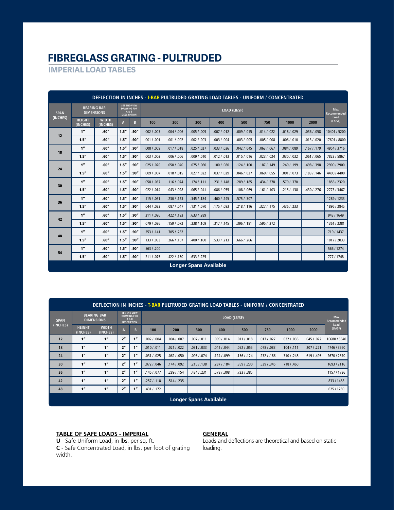## **FIBREGLASS GRATING - PULTRUDED**

**IMPERIAL LOAD TABLES**

| DEFLECTION IN INCHES - I-BAR PULTRUDED GRATING LOAD TABLES - UNIFORM / CONCENTRATED |                           |                                         |              |                                                                   |              |             |                               |             |             |             |             |             |                                   |
|-------------------------------------------------------------------------------------|---------------------------|-----------------------------------------|--------------|-------------------------------------------------------------------|--------------|-------------|-------------------------------|-------------|-------------|-------------|-------------|-------------|-----------------------------------|
| <b>SPAN</b>                                                                         |                           | <b>BEARING BAR</b><br><b>DIMENSIONS</b> |              | SEE END VIEW<br><b>DRAWING FOR</b><br>A & B<br><b>DESCRIPTION</b> | LOAD (LB/SF) |             |                               |             |             |             |             |             | <b>Max</b><br>Recommended<br>Load |
| (INCHES)                                                                            | <b>HEIGHT</b><br>(INCHES) | <b>WIDTH</b><br>(INCHES)                | $\mathbf{A}$ | B                                                                 | 100          | 200         | 300                           | 400         | 500         | 750         | 1000        | 2000        | (Lb/SF)                           |
| 12                                                                                  | 1"                        | .60''                                   | 1.5''        | .90"                                                              | .002 / .003  | .004 / .006 | .005 / .009                   | .007 / .012 | .009 / .015 | .014 / .022 | .018 / .029 | .036 / .058 | 10401 / 5200                      |
|                                                                                     | 1.5"                      | .60"                                    | 1.5"         | .90"                                                              | .001 / .001  | .001 / .002 | .002 / .003                   | .003 / .004 | .003 / .005 | .005 / .008 | .006 / .010 | .013 / .020 | 17601 / 8800                      |
| 18                                                                                  | 1"                        | .60''                                   | 1.5''        | .90''                                                             | .008 / .009  | .017 / .018 | .025 / .027                   | .033 / .036 | .042 / .045 | .063 / .067 | .084 / .089 | .167 / .179 | 4954 / 3716                       |
|                                                                                     | 1.5''                     | .60''                                   | 1.5"         | .90''                                                             | .003 / .003  | .006 / .006 | .009 / .010                   | .012 / .013 | .015 / .016 | .023 / .024 | .030 / .032 | .061 / .065 | 7823 / 5867                       |
|                                                                                     | 1"                        | .60''                                   | 1.5''        | .90"                                                              | .025/0.020   | .050 / .040 | .075/060                      | .100 / .080 | .124/0.100  | .187 / .149 | .249/.199   | .498 / .398 | 2900 / 2900                       |
| 24                                                                                  | 1.5''                     | .60''                                   | 1.5''        | .90''                                                             | .009 / .007  | .018 / .015 | .027 / .022                   | .037 / .029 | .046 / .037 | .069/055    | .091 / .073 | .183 / .146 | 4400 / 4400                       |
|                                                                                     | 1"                        | .60''                                   | 1.5''        | .90''                                                             | .058/.037    | .116 / .074 | .174/0.111                    | .231 / .148 | .289 / .185 | .434 / .278 | .579 / .370 |             | 1856 / 2320                       |
| 30                                                                                  | 1.5''                     | .60''                                   | 1.5"         | .90"                                                              | .022 / .014  | .043/.028   | .065 / .041                   | .086 / .055 | .108 / .069 | .161 / .103 | .215/0.138  | .430 / .276 | 2773 / 3467                       |
| 36                                                                                  | 1"                        | .60''                                   | 1.5''        | .90''                                                             | .115/061     | .230 / .123 | .345/.184                     | .460 / .245 | .575/0.307  |             |             |             | 1289/1233                         |
|                                                                                     | 1.5''                     | .60''                                   | 1.5''        | .90''                                                             | .044/023     | .087 / .047 | .131 / .070                   | .175/093    | .218 / .116 | .327 / .175 | .436 / .233 |             | 1896 / 2845                       |
| 42                                                                                  | 1"                        | .60''                                   | 1.5''        | .90''                                                             | .211 / .096  | .422/.193   | .633 / .289                   |             |             |             |             |             | 943 / 1649                        |
|                                                                                     | 1.5''                     | .60''                                   | 1.5''        | .90''                                                             | .079 / .036  | .159/072    | .238 / .109                   | .317 / .145 | .396 / .181 | .595/.272   |             |             | 1361 / 2381                       |
| 48                                                                                  | 1"                        | .60''                                   | 1.5''        | .90''                                                             | .353/.141    | .705/0.282  |                               |             |             |             |             |             | 719/1437                          |
|                                                                                     | 1.5''                     | .60''                                   | 1.5''        | .90"                                                              | .133/.053    | .266 / .107 | .400 / .160                   | .533/.213   | .666 / .266 |             |             |             | 1017/2033                         |
| 54                                                                                  | 1"                        | .60''                                   | 1.5''        | .90''                                                             | .563 / .200  |             |                               |             |             |             |             |             | 566 / 1274                        |
|                                                                                     | 1.5''                     | .60''                                   | 1.5''        | .90"                                                              | .211 / .075  | .422 / .150 | .633 / .225                   |             |             |             |             |             | 777/1748                          |
|                                                                                     |                           |                                         |              |                                                                   |              |             | <b>Longer Spans Available</b> |             |             |             |             |             |                                   |

| DEFLECTION IN INCHES - T-BAR PULTRUDED GRATING LOAD TABLES - UNIFORM / CONCENTRATED |                           |                          |                |                                                                          |             |             |             |              |             |             |             |             |                           |
|-------------------------------------------------------------------------------------|---------------------------|--------------------------|----------------|--------------------------------------------------------------------------|-------------|-------------|-------------|--------------|-------------|-------------|-------------|-------------|---------------------------|
| <b>SPAN</b>                                                                         | <b>BEARING BAR</b>        | <b>DIMENSIONS</b>        |                | <b>SEE END VIEW</b><br><b>DRAWING FOR</b><br>A & B<br><b>DESCRIPTION</b> |             |             |             | LOAD (LB/SF) |             |             |             |             | Max<br><b>Recommended</b> |
| (INCHES)                                                                            | <b>HEIGHT</b><br>(INCHES) | <b>WIDTH</b><br>(INCHES) | A              | B                                                                        | 100         | 200         | 300         | 400          | 500         | 750         | 1000        | 2000        | Load<br>(Lb/SF)           |
| 12                                                                                  | 1"                        | 1 <sup>n</sup>           | 2"             | - 11<br>Т                                                                | .002 / .004 | .004 / .007 | .007 / .011 | .009 / .014  | .011 / .018 | .017 / .027 | .022 / .036 | .045 / .072 | 10680 / 5340              |
| 18                                                                                  | 1"                        | 1"                       | 2 <sup>n</sup> | 1"                                                                       | .010 / .011 | .021 / .022 | .031 / .033 | .041 / .044  | .052 / .055 | .078 / .083 | .104 / .111 | .207/0.221  | 4746 / 3560               |
| 24                                                                                  | 1"                        | 1 <sup>n</sup>           | 2 <sup>n</sup> | 1"                                                                       | .031 / .025 | .062 / .050 | .093 / .074 | .124 / .099  | .156 / .124 | .232 / .186 | .310 / .248 | .619/.495   | 2670 / 2670               |
| 30                                                                                  | 1"                        | 1"                       | 2"             | 1"                                                                       | .072 / .046 | .144 / .092 | .215/0.138  | .287 / .184  | .359 / .230 | .539/0.345  | .718 / .460 |             | 1693/2116                 |
| 36                                                                                  | 1"                        | 1 <sup>n</sup>           | 2"             | 1 <sup>n</sup>                                                           | .145 / .077 | .289 / .154 | .434 / .231 | .578 / .308  | .723/0.385  |             |             |             | 1157/1736                 |
| 42                                                                                  | 1"                        | 1 <sup>n</sup>           | 2"             | 1 <sup>n</sup>                                                           | .257 / .118 | .514/.235   |             |              |             |             |             |             | 833 / 1458                |
| 48                                                                                  | 1"                        | 1 <sup>n</sup>           | 2"             | 1"                                                                       | .431 / .172 |             |             |              |             |             |             |             | 625/1250                  |
| <b>Longer Spans Available</b>                                                       |                           |                          |                |                                                                          |             |             |             |              |             |             |             |             |                           |

#### **TABLE OF SAFE LOADS - IMPERIAL**

**U** - Safe Uniform Load, in lbs. per sq. ft. **C** - Safe Concentrated Load, in lbs. per foot of grating width.

#### **GENERAL**

Loads and deflections are theoretical and based on static loading.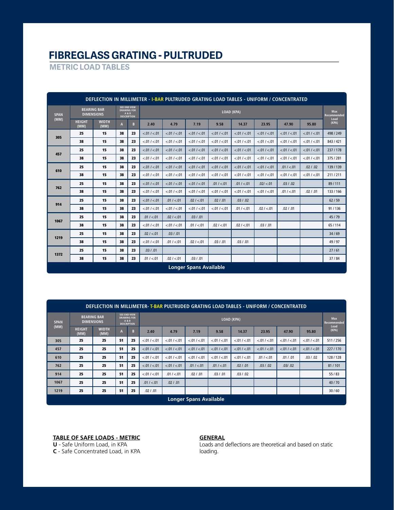# **FIBREGLASS GRATING - PULTRUDED**

**METRIC LOAD TABLES**

|             | DEFLECTION IN MILLIMETER - I-BAR PULTRUDED GRATING LOAD TABLES - UNIFORM / CONCENTRATED |                                         |    |                                                                          |               |               |               |               |               |               |               |               |                                   |
|-------------|-----------------------------------------------------------------------------------------|-----------------------------------------|----|--------------------------------------------------------------------------|---------------|---------------|---------------|---------------|---------------|---------------|---------------|---------------|-----------------------------------|
| <b>SPAN</b> |                                                                                         | <b>BEARING BAR</b><br><b>DIMENSIONS</b> |    | <b>SEE END VIEW</b><br><b>DRAWING FOR</b><br>A & B<br><b>DESCRIPTION</b> | LOAD (KPA)    |               |               |               |               |               |               |               | <b>Max</b><br>Recommended<br>Load |
| (MM)        | <b>HEIGHT</b><br>(MM)                                                                   | <b>WIDTH</b><br>(MM)                    | A  | B                                                                        | 2.40          | 4.79          | 7.19          | 9.58          | 14.37         | 23.95         | 47.90         | 95.80         | (KPA)                             |
| 305         | 25                                                                                      | 15                                      | 38 | 23                                                                       | < .01 / < .01 | < .01 / < .01 | < .01 / < .01 | < .01 / < .01 | < .01 / < .01 | < .01 / < .01 | < 01 / < 01   | < .01 / < .01 | 498/249                           |
|             | 38                                                                                      | 15                                      | 38 | 23                                                                       | < .01 / < .01 | < 01 / < 01   | < 01 / < 01   | < .01 / < .01 | < 01 / < 01   | < 01 / < 01   | < 01 / < 01   | < .01 / < .01 | 843/421                           |
| 457         | 25                                                                                      | 15                                      | 38 | 23                                                                       | < .01 / < .01 | < .01 / < .01 | < .01 / < .01 | < 01 / < 01   | < 01 / < 01   | < .01 / < .01 | < .01 / < .01 | < .01 / < .01 | 237/178                           |
|             | 38                                                                                      | 15                                      | 38 | 23                                                                       | < .01 / < .01 | < .01 / < .01 | < 01 / < 01   | < 01 / < 01   | < .01 / < .01 | < .01 / < .01 | < .01 / < .01 | < .01 / < .01 | 375/281                           |
|             | 25                                                                                      | 15                                      | 38 | 23                                                                       | < .01 / < .01 | < .01 / < .01 | < .01 / < .01 | < 01 / < 01   | < 01 / < 01   | < .01 / < .01 | .01 / < .01   | .02 / .02     | 139/139                           |
| 610         | 38                                                                                      | 15                                      | 38 | 23                                                                       | < .01 / < .01 | < .01 / < .01 | < 01 / < 01   | < .01 / < .01 | < .01 / < .01 | < .01 / < .01 | < 01 / < 01   | < .01 / < .01 | 211/211                           |
| 762         | 25                                                                                      | 15                                      | 38 | 23                                                                       | < .01 / < .01 | < .01 / < .01 | < .01 / < .01 | .01 / < .01   | .01 / < .01   | .02/ < .01    | .03 / .02     |               | 89/111                            |
|             | 38                                                                                      | 15                                      | 38 | 23                                                                       | < .01 / < .01 | < 01 / < 01   | < 01 / < 01   | < 01 / < 01   | < 01 / < 01   | < .01 / < .01 | .01 / < .01   | .02 / .01     | 133/166                           |
| 914         | 25                                                                                      | 15                                      | 38 | 23                                                                       | < .01 / < .01 | .01 / < .01   | .02 / < .01   | .02 / .01     | .03 / .02     |               |               |               | 62/59                             |
|             | 38                                                                                      | 15                                      | 38 | 23                                                                       | < .01 / < .01 | < .01 / < .01 | < .01 / < .01 | < 01 / < 01   | .01 / < .01   | .02 / < .01   | .02 / .01     |               | 91/136                            |
| 1067        | 25                                                                                      | 15                                      | 38 | 23                                                                       | .01 / < .01   | .02 / < .01   | .03 / .01     |               |               |               |               |               | 45/79                             |
|             | 38                                                                                      | 15                                      | 38 | 23                                                                       | < .01 / < .01 | < .01 / < .01 | .01 / < .01   | .02 / < .01   | .02 / < .01   | .03 / .01     |               |               | 65/114                            |
| 1219        | 25                                                                                      | 15                                      | 38 | 23                                                                       | .02 / < 01    | .03 / .01     |               |               |               |               |               |               | 34/69                             |
|             | 38                                                                                      | 15                                      | 38 | 23                                                                       | < .01 / < .01 | .01 / < .01   | .02 / < .01   | .03 / .01     | .03 / .01     |               |               |               | 49/97                             |
| 1372        | 25                                                                                      | 15                                      | 38 | 23                                                                       | .03 / .01     |               |               |               |               |               |               |               | 27/61                             |
|             | 38                                                                                      | 15                                      | 38 | 23                                                                       | .01 / < .01   | .02 / < 01    | .03 / .01     |               |               |               |               |               | 37/84                             |
|             | <b>Longer Spans Available</b>                                                           |                                         |    |                                                                          |               |               |               |               |               |               |               |               |                                   |

|                               | DEFLECTION IN MILLIMETER-T-BAR PULTRUDED GRATING LOAD TABLES - UNIFORM / CONCENTRATED |                                         |    |                                                                          |               |               |                 |                 |                 |               |               |               |                            |
|-------------------------------|---------------------------------------------------------------------------------------|-----------------------------------------|----|--------------------------------------------------------------------------|---------------|---------------|-----------------|-----------------|-----------------|---------------|---------------|---------------|----------------------------|
| <b>SPAN</b>                   |                                                                                       | <b>BEARING BAR</b><br><b>DIMENSIONS</b> |    | <b>SEE END VIEW</b><br><b>DRAWING FOR</b><br>A & B<br><b>DESCRIPTION</b> |               | LOAD (KPA)    |                 |                 |                 |               |               |               | Max<br>Recommended<br>Load |
| (MM)                          | <b>HEIGHT</b><br>(MM)                                                                 | <b>WIDTH</b><br>(MM)                    | A  | B                                                                        | 2.40          | 4.79          | 7.19            | 9.58            | 14.37           | 23.95         | 47.90         | 95.80         | (KPA)                      |
| 305                           | 25                                                                                    | 25                                      | 51 | 25                                                                       | < .01 / < .01 | < .01 / < .01 | < 01 / < 01     | < .01 / < .01   | < .01 / < .01   | < .01 / < .01 | < .01 / < .01 | < .01 / < .01 | 511/256                    |
| 457                           | 25                                                                                    | 25                                      | 51 | 25                                                                       | < .01 / < .01 | < .01 / < .01 | < 0.01 / < 0.01 | < 0.01 / < 0.01 | < .01 / < .01   | < .01 / < .01 | < .01 / < .01 | < .01 / < .01 | 227/170                    |
| 610                           | 25                                                                                    | 25                                      | 51 | 25                                                                       | < .01 / < .01 | < .01 / < .01 | < 01 / < 01     | < 0.01 / < 0.01 | < 0.01 / < 0.01 | .01 / < .01   | .01 / .01     | .03 / .02     | 128/128                    |
| 762                           | 25                                                                                    | 25                                      | 51 | 25                                                                       | < .01 / < .01 | < .01 / < .01 | .01 / < .01     | .01 / < .01     | .02 / .01       | .03 / .02     | .03/ .02      |               | 81/101                     |
| 914                           | 25                                                                                    | 25                                      | 51 | 25                                                                       | < .01 / < .01 | .01 / < .01   | .02 / .01       | .03 / .01       | .03 / .02       |               |               |               | 55/83                      |
| 1067                          | 25                                                                                    | 25                                      | 51 | 25                                                                       | .01 / < .01   | .02 / .01     |                 |                 |                 |               |               |               | 40/70                      |
| 1219                          | 25                                                                                    | 25                                      | 51 | 25                                                                       | .02 / .01     |               |                 |                 |                 |               |               |               | 30/60                      |
| <b>Longer Spans Available</b> |                                                                                       |                                         |    |                                                                          |               |               |                 |                 |                 |               |               |               |                            |

**TABLE OF SAFE LOADS - METRIC**

**U** - Safe Uniform Load, in KPA

**C** - Safe Concentrated Load, in KPA

#### **GENERAL**

Loads and deflections are theoretical and based on static loading.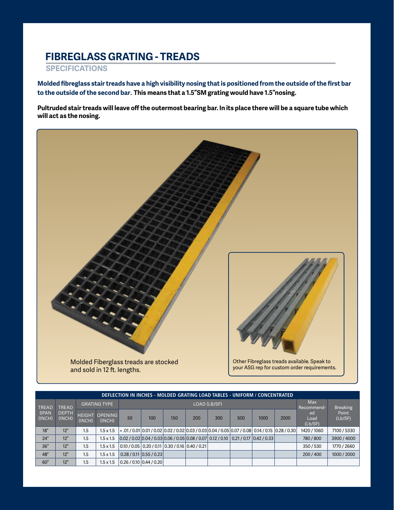## **FIBREGLASS GRATING - TREADS**

#### **SPECIFICATIONS**

**Molded fibreglass stair treads have a high visibility nosing that is positioned from the outside of the first bar to the outside of the second bar**. **This means that a 1.5"SM grating would have 1.5"nosing.**

**Pultruded stair treads will leave off the outermost bearing bar. In its place there will be a square tube which will act as the nosing.**



|                | DEFLECTION IN INCHES - MOLDED GRATING LOAD TABLES - UNIFORM / CONCENTRATED |        |                                 |                                                                                                                                       |                                                                                                               |     |                          |                 |     |      |      |                       |                  |
|----------------|----------------------------------------------------------------------------|--------|---------------------------------|---------------------------------------------------------------------------------------------------------------------------------------|---------------------------------------------------------------------------------------------------------------|-----|--------------------------|-----------------|-----|------|------|-----------------------|------------------|
| <b>TREAD</b>   | <b>TREAD</b>                                                               |        | <b>GRATING TYPE</b>             |                                                                                                                                       |                                                                                                               |     | <b>Max</b><br>Recommend- | <b>Breaking</b> |     |      |      |                       |                  |
| SPAN<br>(INCH) | <b>DEPTH</b><br>(INCH)                                                     | (INCH) | <b>HEIGHT OPENING</b><br>(INCH) | 50                                                                                                                                    | 100                                                                                                           | 150 | 200                      | 300             | 500 | 1000 | 2000 | ed<br>Load<br>(Lb/SF) | Point<br>(Lb/SF) |
| 18''           | 12"                                                                        | 1.5    | $1.5 \times 1.5$                |                                                                                                                                       | 2.01 / 0.03 / 0.14 / 0.14 0.01 / 0.02 0.03 / 0.03 / 0.03 / 0.03 / 0.05 / 0.07 / 0.00 / 0.01 / 0.01 / 0.01 / 0 |     |                          |                 |     |      |      | 1420 / 1060           | 7100 / 5330      |
| 24''           | 12"                                                                        | 1.5    | $1.5 \times 1.5$                | $\vert 0.02 / 0.02 \vert 0.04 / 0.03 \vert 0.06 / 0.05 \vert 0.08 / 0.07 \vert 0.12 / 0.10 \vert 0.21 / 0.17 \vert 0.42 / 0.33 \vert$ |                                                                                                               |     |                          |                 |     |      |      | 780 / 800             | 3900 / 4000      |
| 36''           | 12"                                                                        | 1.5    | $1.5 \times 1.5$                |                                                                                                                                       | $\vert 0.10$ / 0.05 $\vert 0.20$ / 0.11 $\vert 0.30$ / 0.16 $\vert 0.40$ / 0.21 $\vert$                       |     |                          |                 |     |      |      | 350/530               | 1770 / 2660      |
| 48"            | 12"                                                                        | 1.5    | $1.5 \times 1.5$                |                                                                                                                                       | 0.28/0.11 0.55/0.23                                                                                           |     |                          |                 |     |      |      | 200/400               | 1000 / 2000      |
| 60"            | 12"                                                                        | 1.5    | $1.5 \times 1.5$                |                                                                                                                                       | $\vert 0.26$ / 0.10 $\vert 0.44$ / 0.20 $\vert$                                                               |     |                          |                 |     |      |      |                       |                  |